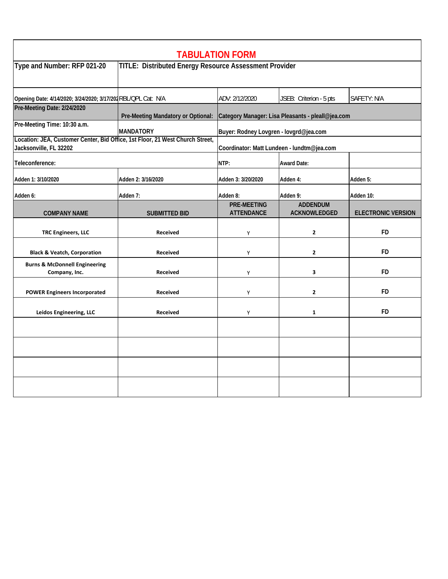| <b>TABULATION FORM</b>                                                                                  |                                                        |                                                   |                                        |                           |  |  |
|---------------------------------------------------------------------------------------------------------|--------------------------------------------------------|---------------------------------------------------|----------------------------------------|---------------------------|--|--|
| Type and Number: RFP 021-20                                                                             | TITLE: Distributed Energy Resource Assessment Provider |                                                   |                                        |                           |  |  |
| Opening Date: 4/14/2020; 3/24/2020; 3/17/201RBL/QPL Cat: N/A                                            |                                                        | ADV: 2/12/2020                                    | JSEB: Criterion - 5 pts                | SAFETY: N/A               |  |  |
| Pre-Meeting Date: 2/24/2020                                                                             | Pre-Meeting Mandatory or Optional:                     | Category Manager: Lisa Pleasants - pleall@jea.com |                                        |                           |  |  |
| Pre-Meeting Time: 10:30 a.m.                                                                            | <b>MANDATORY</b>                                       | Buyer: Rodney Lovgren - lovgrd@jea.com            |                                        |                           |  |  |
| Location: JEA, Customer Center, Bid Office, 1st Floor, 21 West Church Street,<br>Jacksonville, FL 32202 |                                                        | Coordinator: Matt Lundeen - lundtm@jea.com        |                                        |                           |  |  |
| Teleconference:                                                                                         |                                                        | NTP:                                              | <b>Award Date:</b>                     |                           |  |  |
| Adden 1: 3/10/2020                                                                                      | Adden 2: 3/16/2020                                     | Adden 3: 3/20/2020                                | Adden 4:                               | Adden 5:                  |  |  |
| Adden 6:                                                                                                | Adden 7:                                               | Adden 8:                                          | Adden 9:                               | Adden 10:                 |  |  |
| <b>COMPANY NAME</b>                                                                                     | <b>SUBMITTED BID</b>                                   | <b>PRE-MEETING</b><br><b>ATTENDANCE</b>           | <b>ADDENDUM</b><br><b>ACKNOWLEDGED</b> | <b>ELECTRONIC VERSION</b> |  |  |
| <b>TRC Engineers, LLC</b>                                                                               | <b>Received</b>                                        | Υ                                                 | $\mathbf{2}$                           | <b>FD</b>                 |  |  |
| <b>Black &amp; Veatch, Corporation</b>                                                                  | <b>Received</b>                                        | Y                                                 | $\mathbf{2}$                           | <b>FD</b>                 |  |  |
| <b>Burns &amp; McDonnell Engineering</b><br>Company, Inc.                                               | Received                                               | Y                                                 | 3                                      | <b>FD</b>                 |  |  |
| <b>POWER Engineers Incorporated</b>                                                                     | <b>Received</b>                                        | Y                                                 | $\mathbf{2}$                           | <b>FD</b>                 |  |  |
| Leidos Engineering, LLC                                                                                 | <b>Received</b>                                        | Υ                                                 | $\mathbf{1}$                           | FD                        |  |  |
|                                                                                                         |                                                        |                                                   |                                        |                           |  |  |
|                                                                                                         |                                                        |                                                   |                                        |                           |  |  |
|                                                                                                         |                                                        |                                                   |                                        |                           |  |  |
|                                                                                                         |                                                        |                                                   |                                        |                           |  |  |